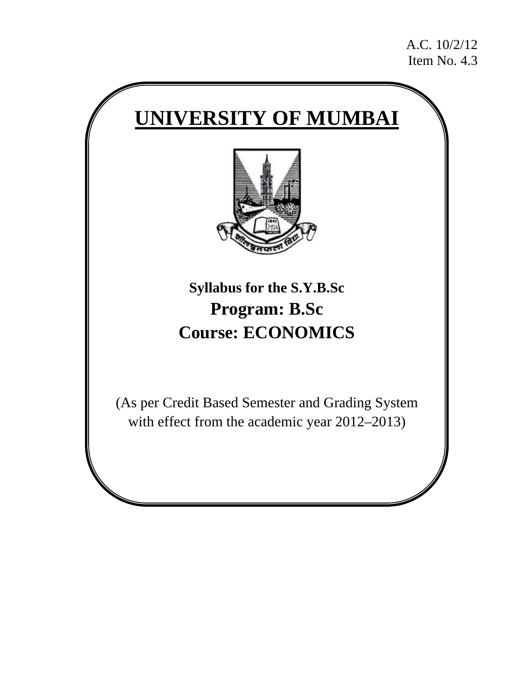A.C. 10/2/12 Item No. 4.3

# **UNIVERSITY OF MUMBAI**



**Syllabus for the S.Y.B.Sc Program: B.Sc Course: ECONOMICS** 

(As per Credit Based Semester and Grading System with effect from the academic year 2012–2013)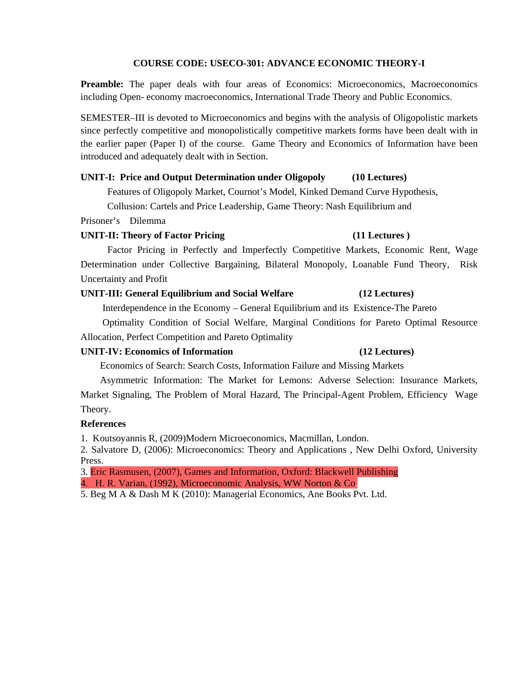#### **COURSE CODE: USECO-301: ADVANCE ECONOMIC THEORY-I**

**Preamble:** The paper deals with four areas of Economics: Microeconomics, Macroeconomics including Open- economy macroeconomics, International Trade Theory and Public Economics.

SEMESTER–III is devoted to Microeconomics and begins with the analysis of Oligopolistic markets since perfectly competitive and monopolistically competitive markets forms have been dealt with in the earlier paper (Paper I) of the course. Game Theory and Economics of Information have been introduced and adequately dealt with in Section.

#### **UNIT-I: Price and Output Determination under Oligopoly (10 Lectures)**

Features of Oligopoly Market, Cournot's Model, Kinked Demand Curve Hypothesis,

Collusion: Cartels and Price Leadership, Game Theory: Nash Equilibrium and

Prisoner's Dilemma

#### **UNIT-II: Theory of Factor Pricing (11 Lectures )**

 Factor Pricing in Perfectly and Imperfectly Competitive Markets, Economic Rent, Wage Determination under Collective Bargaining, Bilateral Monopoly, Loanable Fund Theory, Risk Uncertainty and Profit

#### **UNIT-III: General Equilibrium and Social Welfare (12 Lectures)**

Interdependence in the Economy – General Equilibrium and its Existence-The Pareto

 Optimality Condition of Social Welfare, Marginal Conditions for Pareto Optimal Resource Allocation, Perfect Competition and Pareto Optimality

#### **UNIT-IV: Economics of Information (12 Lectures)**

Economics of Search: Search Costs, Information Failure and Missing Markets

 Asymmetric Information: The Market for Lemons: Adverse Selection: Insurance Markets, Market Signaling, The Problem of Moral Hazard, The Principal-Agent Problem, Efficiency Wage Theory.

#### **References**

1. Koutsoyannis R, (2009)Modern Microeconomics, Macmillan, London.

2. Salvatore D, (2006): Microeconomics: Theory and Applications , New Delhi Oxford, University Press.

3. Eric Rasmusen, (2007), Games and Information, Oxford: Blackwell Publishing

4. H. R. Varian, (1992), Microeconomic Analysis, WW Norton & Co.

5. Beg M A & Dash M K (2010): Managerial Economics, Ane Books Pvt. Ltd.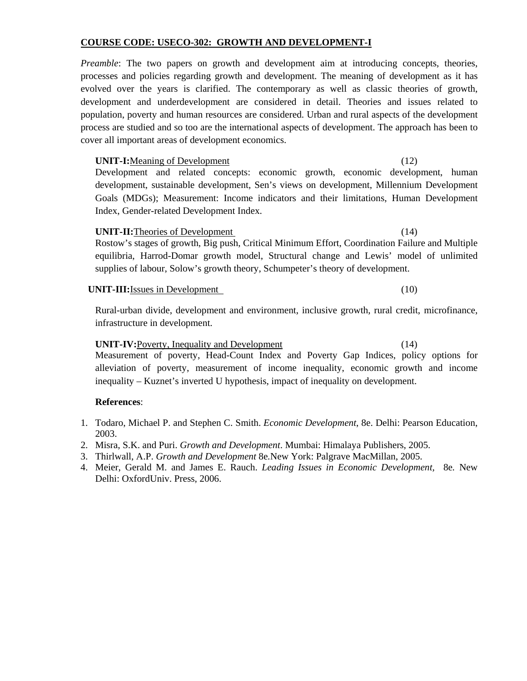# **COURSE CODE: USECO-302: GROWTH AND DEVELOPMENT-I**

*Preamble*: The two papers on growth and development aim at introducing concepts, theories, processes and policies regarding growth and development. The meaning of development as it has evolved over the years is clarified. The contemporary as well as classic theories of growth, development and underdevelopment are considered in detail. Theories and issues related to population, poverty and human resources are considered. Urban and rural aspects of the development process are studied and so too are the international aspects of development. The approach has been to cover all important areas of development economics.

# **UNIT-I:**Meaning of Development (12)

Development and related concepts: economic growth, economic development, human development, sustainable development, Sen's views on development, Millennium Development Goals (MDGs); Measurement: Income indicators and their limitations, Human Development Index, Gender-related Development Index.

# **UNIT-II:**Theories of Development (14)

Rostow's stages of growth, Big push, Critical Minimum Effort, Coordination Failure and Multiple equilibria, Harrod-Domar growth model, Structural change and Lewis' model of unlimited supplies of labour, Solow's growth theory, Schumpeter's theory of development.

# **UNIT-III:**Issues in Development (10)

Rural-urban divide, development and environment, inclusive growth, rural credit, microfinance, infrastructure in development.

# **UNIT-IV:**Poverty, Inequality and Development (14)

Measurement of poverty, Head-Count Index and Poverty Gap Indices, policy options for alleviation of poverty, measurement of income inequality, economic growth and income inequality – Kuznet's inverted U hypothesis, impact of inequality on development.

# **References**:

- 1. Todaro, Michael P. and Stephen C. Smith. *Economic Development*, 8e. Delhi: Pearson Education, 2003.
- 2. Misra, S.K. and Puri. *Growth and Development*. Mumbai: Himalaya Publishers, 2005.
- 3. Thirlwall, A.P. *Growth and Development* 8e*.*New York: Palgrave MacMillan, 2005.
- 4. Meier, Gerald M. and James E. Rauch. *Leading Issues in Economic Development,* 8e*.* New Delhi: OxfordUniv. Press, 2006.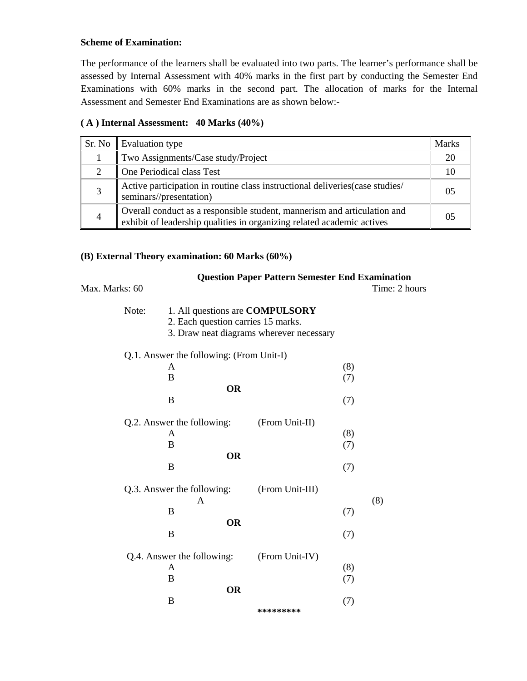#### **Scheme of Examination:**

The performance of the learners shall be evaluated into two parts. The learner's performance shall be assessed by Internal Assessment with 40% marks in the first part by conducting the Semester End Examinations with 60% marks in the second part. The allocation of marks for the Internal Assessment and Semester End Examinations are as shown below:-

### **( A ) Internal Assessment: 40 Marks (40%)**

| Sr. No | Evaluation type                                                                                                                                    | <b>Marks</b>   |
|--------|----------------------------------------------------------------------------------------------------------------------------------------------------|----------------|
|        | Two Assignments/Case study/Project                                                                                                                 | 20             |
|        | One Periodical class Test                                                                                                                          |                |
| 3      | Active participation in routine class instructional deliveries (case studies/<br>seminars//presentation)                                           | 0.5            |
| 4      | Overall conduct as a responsible student, mannerism and articulation and<br>exhibit of leadership qualities in organizing related academic actives | 0 <sub>5</sub> |

### **(B) External Theory examination: 60 Marks (60%)**

| Max. Marks: 60 |                                          | <b>Question Paper Pattern Semester End Examination</b> | Time: 2 hours |
|----------------|------------------------------------------|--------------------------------------------------------|---------------|
|                |                                          |                                                        |               |
| Note:          |                                          | 1. All questions are <b>COMPULSORY</b>                 |               |
|                | 2. Each question carries 15 marks.       |                                                        |               |
|                |                                          | 3. Draw neat diagrams wherever necessary               |               |
|                | Q.1. Answer the following: (From Unit-I) |                                                        |               |
|                | A                                        | (8)                                                    |               |
|                | B                                        | (7)                                                    |               |
|                | <b>OR</b>                                |                                                        |               |
|                | B                                        | (7)                                                    |               |
|                | Q.2. Answer the following:               | (From Unit-II)                                         |               |
|                | A                                        | (8)                                                    |               |
|                | B                                        | (7)                                                    |               |
|                | <b>OR</b>                                |                                                        |               |
|                | B                                        | (7)                                                    |               |
|                | Q.3. Answer the following:               | (From Unit-III)                                        |               |
|                | A                                        |                                                        | (8)           |
|                | B                                        | (7)                                                    |               |
|                | <b>OR</b>                                |                                                        |               |
|                | B                                        | (7)                                                    |               |
|                | Q.4. Answer the following:               | (From Unit-IV)                                         |               |
|                | A                                        | (8)                                                    |               |
|                | B                                        | (7)                                                    |               |
|                | <b>OR</b>                                |                                                        |               |
|                | B                                        | (7)                                                    |               |
|                |                                          | *********                                              |               |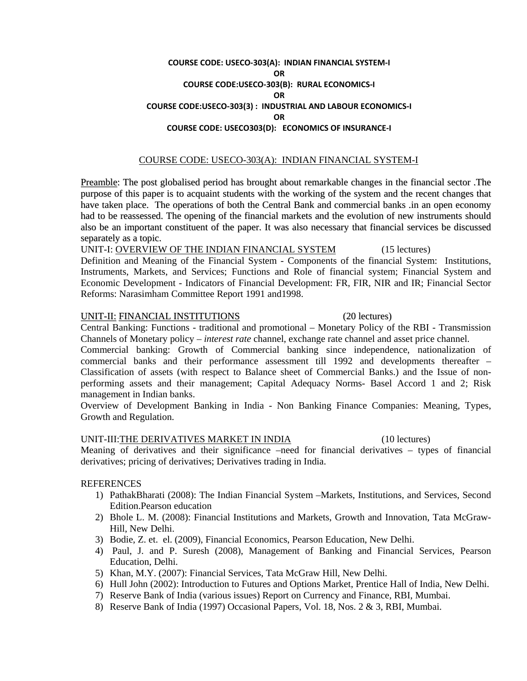#### **COURSE CODE: USECO‐303(A): INDIAN FINANCIAL SYSTEM‐I OR COURSE CODE:USECO‐303(B): RURAL ECONOMICS‐I OR COURSE CODE:USECO‐303(3) : INDUSTRIAL AND LABOUR ECONOMICS‐I OR COURSE CODE: USECO303(D): ECONOMICS OF INSURANCE‐I**

#### COURSE CODE: USECO-303(A): INDIAN FINANCIAL SYSTEM-I

Preamble: The post globalised period has brought about remarkable changes in the financial sector .The purpose of this paper is to acquaint students with the working of the system and the recent changes that have taken place. The operations of both the Central Bank and commercial banks .in an open economy had to be reassessed. The opening of the financial markets and the evolution of new instruments should also be an important constituent of the paper. It was also necessary that financial services be discussed separately as a topic.

UNIT-I: OVERVIEW OF THE INDIAN FINANCIAL SYSTEM (15 lectures) Definition and Meaning of the Financial System - Components of the financial System: Institutions, Instruments, Markets, and Services; Functions and Role of financial system; Financial System and Economic Development - Indicators of Financial Development: FR, FIR, NIR and IR; Financial Sector Reforms: Narasimham Committee Report 1991 and1998.

#### UNIT-II: FINANCIAL INSTITUTIONS (20 lectures)

Central Banking: Functions - traditional and promotional – Monetary Policy of the RBI - Transmission Channels of Monetary policy – *interest rate* channel, exchange rate channel and asset price channel.

Commercial banking: Growth of Commercial banking since independence, nationalization of commercial banks and their performance assessment till 1992 and developments thereafter – Classification of assets (with respect to Balance sheet of Commercial Banks.) and the Issue of nonperforming assets and their management; Capital Adequacy Norms- Basel Accord 1 and 2; Risk management in Indian banks.

Overview of Development Banking in India - Non Banking Finance Companies: Meaning, Types, Growth and Regulation.

#### UNIT-III:THE DERIVATIVES MARKET IN INDIA (10 lectures)

Meaning of derivatives and their significance –need for financial derivatives – types of financial derivatives; pricing of derivatives; Derivatives trading in India.

#### REFERENCES

- 1) PathakBharati (2008): The Indian Financial System –Markets, Institutions, and Services, Second Edition.Pearson education
- 2) Bhole L. M. (2008): Financial Institutions and Markets, Growth and Innovation, Tata McGraw-Hill, New Delhi.
- 3) Bodie, Z. et. el. (2009), Financial Economics, Pearson Education, New Delhi.
- 4) Paul, J. and P. Suresh (2008), Management of Banking and Financial Services, Pearson Education, Delhi.
- 5) Khan, M.Y. (2007): Financial Services, Tata McGraw Hill, New Delhi.
- 6) Hull John (2002): Introduction to Futures and Options Market, Prentice Hall of India, New Delhi.
- 7) Reserve Bank of India (various issues) Report on Currency and Finance, RBI, Mumbai.
- 8) Reserve Bank of India (1997) Occasional Papers, Vol. 18, Nos. 2 & 3, RBI, Mumbai.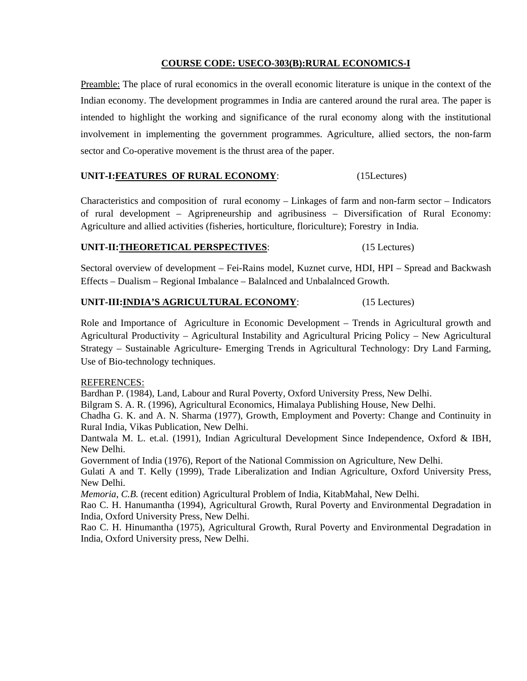#### **COURSE CODE: USECO-303(B):RURAL ECONOMICS-I**

Preamble: The place of rural economics in the overall economic literature is unique in the context of the Indian economy. The development programmes in India are cantered around the rural area. The paper is intended to highlight the working and significance of the rural economy along with the institutional involvement in implementing the government programmes. Agriculture, allied sectors, the non-farm sector and Co-operative movement is the thrust area of the paper.

#### **UNIT-I:FEATURES OF RURAL ECONOMY**: (15Lectures)

Characteristics and composition of rural economy – Linkages of farm and non-farm sector – Indicators of rural development – Agripreneurship and agribusiness – Diversification of Rural Economy: Agriculture and allied activities (fisheries, horticulture, floriculture); Forestry in India.

#### **UNIT-II:THEORETICAL PERSPECTIVES**: (15 Lectures)

Sectoral overview of development – Fei-Rains model, Kuznet curve, HDI, HPI – Spread and Backwash Effects – Dualism – Regional Imbalance – Balalnced and Unbalalnced Growth.

#### **UNIT-III:INDIA'S AGRICULTURAL ECONOMY**: (15 Lectures)

Role and Importance of Agriculture in Economic Development – Trends in Agricultural growth and Agricultural Productivity – Agricultural Instability and Agricultural Pricing Policy – New Agricultural Strategy – Sustainable Agriculture- Emerging Trends in Agricultural Technology: Dry Land Farming, Use of Bio-technology techniques.

#### REFERENCES:

Bardhan P. (1984), Land, Labour and Rural Poverty, Oxford University Press, New Delhi.

Bilgram S. A. R. (1996), Agricultural Economics, Himalaya Publishing House, New Delhi.

Chadha G. K. and A. N. Sharma (1977), Growth, Employment and Poverty: Change and Continuity in Rural India, Vikas Publication, New Delhi.

Dantwala M. L. et.al. (1991), Indian Agricultural Development Since Independence, Oxford & IBH, New Delhi.

Government of India (1976), Report of the National Commission on Agriculture, New Delhi.

Gulati A and T. Kelly (1999), Trade Liberalization and Indian Agriculture, Oxford University Press, New Delhi.

*Memoria*, *C.B.* (recent edition) Agricultural Problem of India, KitabMahal, New Delhi.

Rao C. H. Hanumantha (1994), Agricultural Growth, Rural Poverty and Environmental Degradation in India, Oxford University Press, New Delhi.

Rao C. H. Hinumantha (1975), Agricultural Growth, Rural Poverty and Environmental Degradation in India, Oxford University press, New Delhi.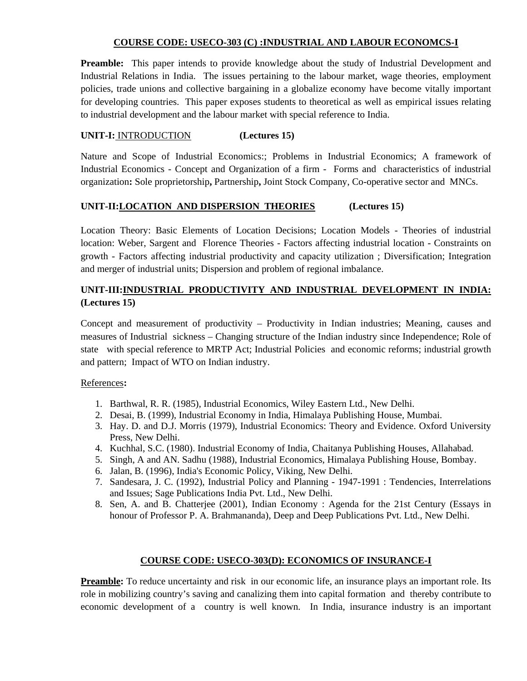### **COURSE CODE: USECO-303 (C) :INDUSTRIAL AND LABOUR ECONOMCS-I**

**Preamble:** This paper intends to provide knowledge about the study of Industrial Development and Industrial Relations in India. The issues pertaining to the labour market, wage theories, employment policies, trade unions and collective bargaining in a globalize economy have become vitally important for developing countries. This paper exposes students to theoretical as well as empirical issues relating to industrial development and the labour market with special reference to India.

# **UNIT-I:** INTRODUCTION **(Lectures 15)**

Nature and Scope of Industrial Economics:; Problems in Industrial Economics; A framework of Industrial Economics - Concept and Organization of a firm - Forms and characteristics of industrial organization**:** Sole proprietorship**,** Partnership**,** Joint Stock Company, Co-operative sector and MNCs.

# **UNIT-II:LOCATION AND DISPERSION THEORIES (Lectures 15)**

Location Theory: Basic Elements of Location Decisions; Location Models - Theories of industrial location: Weber, Sargent and Florence Theories - Factors affecting industrial location - Constraints on growth - Factors affecting industrial productivity and capacity utilization ; Diversification; Integration and merger of industrial units; Dispersion and problem of regional imbalance.

# **UNIT-III:INDUSTRIAL PRODUCTIVITY AND INDUSTRIAL DEVELOPMENT IN INDIA: (Lectures 15)**

Concept and measurement of productivity – Productivity in Indian industries; Meaning, causes and measures of Industrial sickness – Changing structure of the Indian industry since Independence; Role of state with special reference to MRTP Act; Industrial Policies and economic reforms; industrial growth and pattern; Impact of WTO on Indian industry.

### References**:**

- 1. Barthwal, R. R. (1985), Industrial Economics, Wiley Eastern Ltd., New Delhi.
- 2. Desai, B. (1999), Industrial Economy in India, Himalaya Publishing House, Mumbai.
- 3. Hay. D. and D.J. Morris (1979), Industrial Economics: Theory and Evidence. Oxford University Press, New Delhi.
- 4. Kuchhal, S.C. (1980). Industrial Economy of India, Chaitanya Publishing Houses, Allahabad.
- 5. Singh, A and AN. Sadhu (1988), Industrial Economics, Himalaya Publishing House, Bombay.
- 6. Jalan, B. (1996), India's Economic Policy, Viking, New Delhi.
- 7. Sandesara, J. C. (1992), Industrial Policy and Planning 1947-1991 : Tendencies, Interrelations and Issues; Sage Publications India Pvt. Ltd., New Delhi.
- 8. Sen, A. and B. Chatterjee (2001), Indian Economy : Agenda for the 21st Century (Essays in honour of Professor P. A. Brahmananda), Deep and Deep Publications Pvt. Ltd., New Delhi.

### **COURSE CODE: USECO-303(D): ECONOMICS OF INSURANCE-I**

**Preamble:** To reduce uncertainty and risk in our economic life, an insurance plays an important role. Its role in mobilizing country's saving and canalizing them into capital formation and thereby contribute to economic development of a country is well known. In India, insurance industry is an important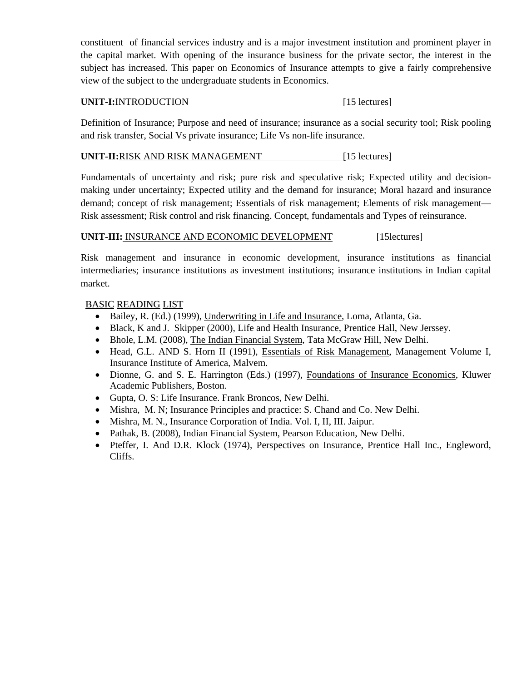constituent of financial services industry and is a major investment institution and prominent player in the capital market. With opening of the insurance business for the private sector, the interest in the subject has increased. This paper on Economics of Insurance attempts to give a fairly comprehensive view of the subject to the undergraduate students in Economics.

### UNIT-I:INTRODUCTION [15 lectures]

Definition of Insurance; Purpose and need of insurance; insurance as a social security tool; Risk pooling and risk transfer, Social Vs private insurance; Life Vs non-life insurance.

# **UNIT-II:**RISK AND RISK MANAGEMENT [15 lectures]

Fundamentals of uncertainty and risk; pure risk and speculative risk; Expected utility and decisionmaking under uncertainty; Expected utility and the demand for insurance; Moral hazard and insurance demand; concept of risk management; Essentials of risk management; Elements of risk management— Risk assessment; Risk control and risk financing. Concept, fundamentals and Types of reinsurance.

# **UNIT-III:** INSURANCE AND ECONOMIC DEVELOPMENT [15lectures]

Risk management and insurance in economic development, insurance institutions as financial intermediaries; insurance institutions as investment institutions; insurance institutions in Indian capital market.

### BASIC READING LIST

- Bailey, R. (Ed.) (1999), Underwriting in Life and Insurance, Loma, Atlanta, Ga.
- Black, K and J. Skipper (2000), Life and Health Insurance, Prentice Hall, New Jerssey.
- Bhole, L.M. (2008), The Indian Financial System, Tata McGraw Hill, New Delhi.
- Head, G.L. AND S. Horn II (1991), Essentials of Risk Management, Management Volume I, Insurance Institute of America, Malvem.
- Dionne, G. and S. E. Harrington (Eds.) (1997), Foundations of Insurance Economics, Kluwer Academic Publishers, Boston.
- Gupta, O. S: Life Insurance. Frank Broncos, New Delhi.
- Mishra, M. N; Insurance Principles and practice: S. Chand and Co. New Delhi.
- Mishra, M. N., Insurance Corporation of India. Vol. I, II, III. Jaipur.
- Pathak, B. (2008), Indian Financial System, Pearson Education, New Delhi.
- Pteffer, I. And D.R. Klock (1974), Perspectives on Insurance, Prentice Hall Inc., Engleword, Cliffs.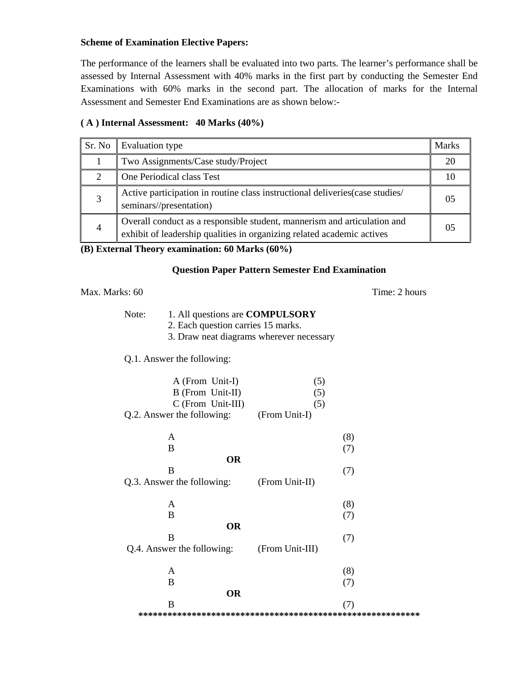#### **Scheme of Examination Elective Papers:**

The performance of the learners shall be evaluated into two parts. The learner's performance shall be assessed by Internal Assessment with 40% marks in the first part by conducting the Semester End Examinations with 60% marks in the second part. The allocation of marks for the Internal Assessment and Semester End Examinations are as shown below:-

# **( A ) Internal Assessment: 40 Marks (40%)**

| Sr. No         | <b>Evaluation type</b>                                                                                                                             | <b>Marks</b>   |
|----------------|----------------------------------------------------------------------------------------------------------------------------------------------------|----------------|
|                | Two Assignments/Case study/Project                                                                                                                 | 20             |
| $\gamma$       | One Periodical class Test                                                                                                                          |                |
| 3              | Active participation in routine class instructional deliveries (case studies/<br>seminars//presentation)                                           | 0 <sub>5</sub> |
| $\overline{4}$ | Overall conduct as a responsible student, mannerism and articulation and<br>exhibit of leadership qualities in organizing related academic actives | 05             |

#### **(B) External Theory examination: 60 Marks (60%)**

#### **Question Paper Pattern Semester End Examination**

#### Max. Marks: 60 Time: 2 hours

- Note: 1. All questions are **COMPULSORY**
	- 2. Each question carries 15 marks.
	- 3. Draw neat diagrams wherever necessary

### Q.1. Answer the following:

| A (From Unit-I)<br>B (From Unit-II)<br>C (From Unit-III)<br>Q.2. Answer the following: (From Unit-I) | (5)<br>(5)<br>(5) |
|------------------------------------------------------------------------------------------------------|-------------------|
| A                                                                                                    | (8)               |
| B                                                                                                    | (7)               |
| <b>OR</b>                                                                                            |                   |
| B                                                                                                    | (7)               |
| Q.3. Answer the following:                                                                           | (From Unit-II)    |
|                                                                                                      |                   |
| A                                                                                                    | (8)               |
| B                                                                                                    | (7)               |
| <b>OR</b>                                                                                            |                   |
| B                                                                                                    | (7)               |
| Q.4. Answer the following:                                                                           | (From Unit-III)   |
|                                                                                                      |                   |
| A                                                                                                    | (8)               |
| B                                                                                                    | (7)               |
| <b>OR</b>                                                                                            |                   |
| B                                                                                                    | (7)               |
|                                                                                                      |                   |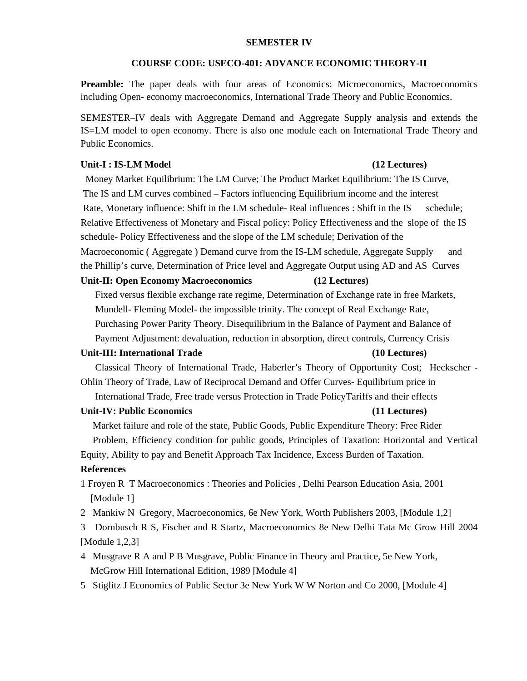#### **SEMESTER IV**

#### **COURSE CODE: USECO-401: ADVANCE ECONOMIC THEORY-II**

**Preamble:** The paper deals with four areas of Economics: Microeconomics, Macroeconomics including Open- economy macroeconomics, International Trade Theory and Public Economics.

SEMESTER–IV deals with Aggregate Demand and Aggregate Supply analysis and extends the IS=LM model to open economy. There is also one module each on International Trade Theory and Public Economics.

#### Unit-I : IS-LM Model **(12 Lectures) (12 Lectures)**

 Money Market Equilibrium: The LM Curve; The Product Market Equilibrium: The IS Curve, The IS and LM curves combined – Factors influencing Equilibrium income and the interest Rate, Monetary influence: Shift in the LM schedule- Real influences : Shift in the IS schedule; Relative Effectiveness of Monetary and Fiscal policy: Policy Effectiveness and the slope of the IS schedule- Policy Effectiveness and the slope of the LM schedule; Derivation of the Macroeconomic (Aggregate) Demand curve from the IS-LM schedule, Aggregate Supply and the Phillip's curve, Determination of Price level and Aggregate Output using AD and AS Curves **Unit-II: Open Economy Macroeconomics (12 Lectures)**  Fixed versus flexible exchange rate regime, Determination of Exchange rate in free Markets, Mundell- Fleming Model- the impossible trinity. The concept of Real Exchange Rate, Purchasing Power Parity Theory. Disequilibrium in the Balance of Payment and Balance of Payment Adjustment: devaluation, reduction in absorption, direct controls, Currency Crisis **Unit-III: International Trade (10 Lectures)**  Classical Theory of International Trade, Haberler's Theory of Opportunity Cost; Heckscher - Ohlin Theory of Trade, Law of Reciprocal Demand and Offer Curves- Equilibrium price in International Trade, Free trade versus Protection in Trade PolicyTariffs and their effects **Unit-IV: Public Economics (11 Lectures)**  Market failure and role of the state, Public Goods, Public Expenditure Theory: Free Rider Problem, Efficiency condition for public goods, Principles of Taxation: Horizontal and Vertical Equity, Ability to pay and Benefit Approach Tax Incidence, Excess Burden of Taxation. **References**  1 Froyen R T Macroeconomics : Theories and Policies , Delhi Pearson Education Asia, 2001 [Module 1] 2 Mankiw N Gregory, Macroeconomics, 6e New York, Worth Publishers 2003, [Module 1,2] 3 Dornbusch R S, Fischer and R Startz, Macroeconomics 8e New Delhi Tata Mc Grow Hill 2004

#### [Module 1,2,3]

- 4 Musgrave R A and P B Musgrave, Public Finance in Theory and Practice, 5e New York, McGrow Hill International Edition, 1989 [Module 4]
- 5 Stiglitz J Economics of Public Sector 3e New York W W Norton and Co 2000, [Module 4]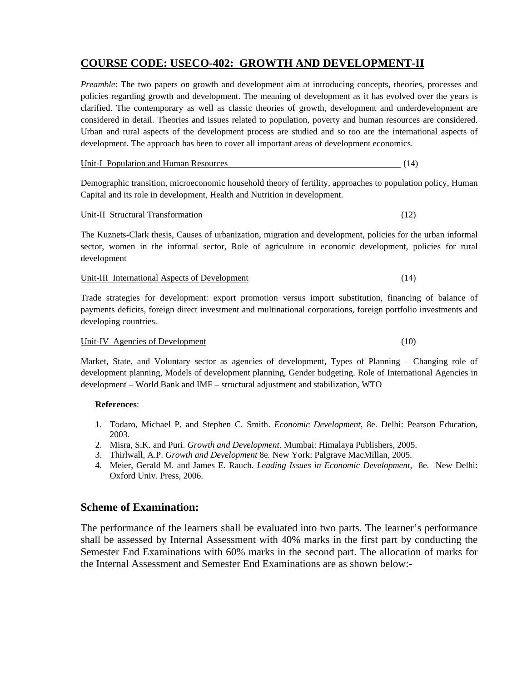# **COURSE CODE: USECO-402: GROWTH AND DEVELOPMENT-II**

*Preamble*: The two papers on growth and development aim at introducing concepts, theories, processes and policies regarding growth and development. The meaning of development as it has evolved over the years is clarified. The contemporary as well as classic theories of growth, development and underdevelopment are considered in detail. Theories and issues related to population, poverty and human resources are considered. Urban and rural aspects of the development process are studied and so too are the international aspects of development. The approach has been to cover all important areas of development economics.

Unit-I Population and Human Resources (14)

Demographic transition, microeconomic household theory of fertility, approaches to population policy, Human Capital and its role in development, Health and Nutrition in development.

Unit-II Structural Transformation (12)

The Kuznets-Clark thesis, Causes of urbanization, migration and development, policies for the urban informal sector, women in the informal sector, Role of agriculture in economic development, policies for rural development

#### Unit-III International Aspects of Development (14)

Trade strategies for development: export promotion versus import substitution, financing of balance of payments deficits, foreign direct investment and multinational corporations, foreign portfolio investments and developing countries.

#### Unit-IV Agencies of Development (10)

Market, State, and Voluntary sector as agencies of development, Types of Planning – Changing role of development planning, Models of development planning, Gender budgeting. Role of International Agencies in development – World Bank and IMF – structural adjustment and stabilization, WTO

#### **References**:

- 1. Todaro, Michael P. and Stephen C. Smith. *Economic Development*, 8e. Delhi: Pearson Education, 2003.
- 2. Misra, S.K. and Puri. *Growth and Development*. Mumbai: Himalaya Publishers, 2005.
- 3. Thirlwall, A.P. *Growth and Development* 8e*.* New York: Palgrave MacMillan, 2005.
- 4. Meier, Gerald M. and James E. Rauch. *Leading Issues in Economic Development,* 8e*.* New Delhi: Oxford Univ. Press, 2006.

#### **Scheme of Examination:**

The performance of the learners shall be evaluated into two parts. The learner's performance shall be assessed by Internal Assessment with 40% marks in the first part by conducting the Semester End Examinations with 60% marks in the second part. The allocation of marks for the Internal Assessment and Semester End Examinations are as shown below:-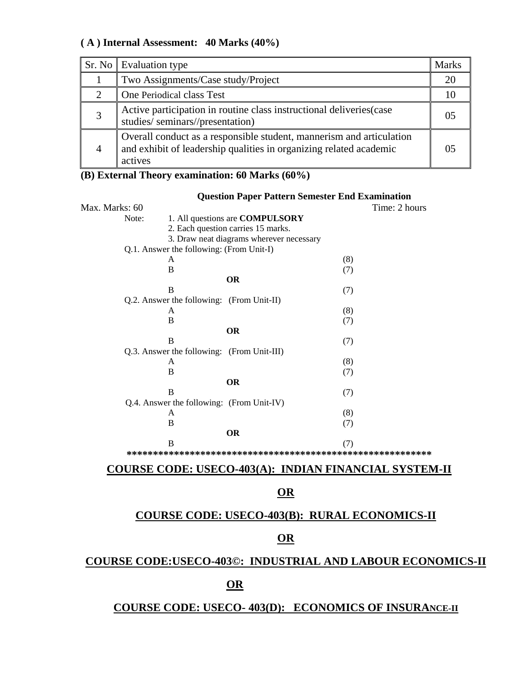# **( A ) Internal Assessment: 40 Marks (40%)**

| Sr. No Evaluation type                                                                                                                                | Marks |
|-------------------------------------------------------------------------------------------------------------------------------------------------------|-------|
| Two Assignments/Case study/Project                                                                                                                    |       |
| One Periodical class Test                                                                                                                             |       |
| Active participation in routine class instructional deliveries (case<br>studies/seminars//presentation)                                               |       |
| Overall conduct as a responsible student, mannerism and articulation<br>and exhibit of leadership qualities in organizing related academic<br>actives |       |

# **(B) External Theory examination: 60 Marks (60%)**

|                                           | <b>Question Paper Pattern Semester End Examination</b>                                                                                                         |
|-------------------------------------------|----------------------------------------------------------------------------------------------------------------------------------------------------------------|
|                                           | Time: 2 hours                                                                                                                                                  |
|                                           | 1. All questions are <b>COMPULSORY</b>                                                                                                                         |
|                                           | 2. Each question carries 15 marks.                                                                                                                             |
|                                           | 3. Draw neat diagrams wherever necessary                                                                                                                       |
|                                           |                                                                                                                                                                |
| A                                         | (8)                                                                                                                                                            |
| B                                         | (7)                                                                                                                                                            |
|                                           | <b>OR</b>                                                                                                                                                      |
| B                                         | (7)                                                                                                                                                            |
|                                           |                                                                                                                                                                |
| A                                         | (8)                                                                                                                                                            |
| B                                         | (7)                                                                                                                                                            |
|                                           | <b>OR</b>                                                                                                                                                      |
| <sub>B</sub>                              | (7)                                                                                                                                                            |
|                                           |                                                                                                                                                                |
| A                                         | (8)                                                                                                                                                            |
| B                                         | (7)                                                                                                                                                            |
|                                           | <b>OR</b>                                                                                                                                                      |
| B                                         | (7)                                                                                                                                                            |
| Q.4. Answer the following: (From Unit-IV) |                                                                                                                                                                |
| A                                         | (8)                                                                                                                                                            |
| B                                         | (7)                                                                                                                                                            |
|                                           | <b>OR</b>                                                                                                                                                      |
| B                                         | (7)                                                                                                                                                            |
|                                           |                                                                                                                                                                |
|                                           | Max. Marks: 60<br>Note:<br>Q.1. Answer the following: (From Unit-I)<br>Q.2. Answer the following: (From Unit-II)<br>Q.3. Answer the following: (From Unit-III) |

# **COURSE CODE: USECO-403(A): INDIAN FINANCIAL SYSTEM-II**

# **OR**

# **COURSE CODE: USECO-403(B): RURAL ECONOMICS-II**

# **OR**

# **COURSE CODE:USECO-403©: INDUSTRIAL AND LABOUR ECONOMICS-II**

# **OR**

# **COURSE CODE: USECO- 403(D): ECONOMICS OF INSURANCE-II**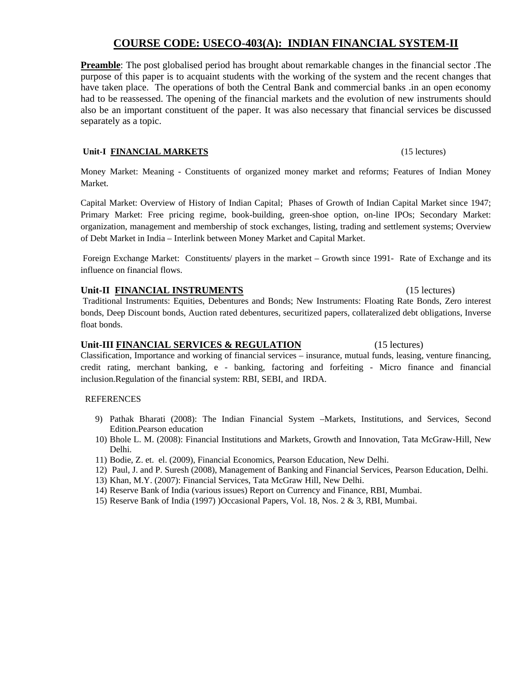### **COURSE CODE: USECO-403(A): INDIAN FINANCIAL SYSTEM-II**

**Preamble**: The post globalised period has brought about remarkable changes in the financial sector .The purpose of this paper is to acquaint students with the working of the system and the recent changes that have taken place. The operations of both the Central Bank and commercial banks .in an open economy had to be reassessed. The opening of the financial markets and the evolution of new instruments should also be an important constituent of the paper. It was also necessary that financial services be discussed separately as a topic.

#### Unit-I **FINANCIAL MARKETS** (15 lectures)

Money Market: Meaning - Constituents of organized money market and reforms; Features of Indian Money Market.

Capital Market: Overview of History of Indian Capital; Phases of Growth of Indian Capital Market since 1947; Primary Market: Free pricing regime, book-building, green-shoe option, on-line IPOs; Secondary Market: organization, management and membership of stock exchanges, listing, trading and settlement systems; Overview of Debt Market in India – Interlink between Money Market and Capital Market.

 Foreign Exchange Market: Constituents/ players in the market – Growth since 1991- Rate of Exchange and its influence on financial flows.

#### **Unit-II FINANCIAL INSTRUMENTS** (15 lectures)

Traditional Instruments: Equities, Debentures and Bonds; New Instruments: Floating Rate Bonds, Zero interest bonds, Deep Discount bonds, Auction rated debentures, securitized papers, collateralized debt obligations, Inverse float bonds.

#### **Unit-III FINANCIAL SERVICES & REGULATION** (15 lectures)

Classification, Importance and working of financial services – insurance, mutual funds, leasing, venture financing, credit rating, merchant banking, e - banking, factoring and forfeiting - Micro finance and financial inclusion.Regulation of the financial system: RBI, SEBI, and IRDA.

#### **REFERENCES**

- 9) Pathak Bharati (2008): The Indian Financial System –Markets, Institutions, and Services, Second Edition.Pearson education
- 10) Bhole L. M. (2008): Financial Institutions and Markets, Growth and Innovation, Tata McGraw-Hill, New Delhi.
- 11) Bodie, Z. et. el. (2009), Financial Economics, Pearson Education, New Delhi.
- 12) Paul, J. and P. Suresh (2008), Management of Banking and Financial Services, Pearson Education, Delhi.
- 13) Khan, M.Y. (2007): Financial Services, Tata McGraw Hill, New Delhi.
- 14) Reserve Bank of India (various issues) Report on Currency and Finance, RBI, Mumbai.
- 15) Reserve Bank of India (1997) )Occasional Papers, Vol. 18, Nos. 2 & 3, RBI, Mumbai.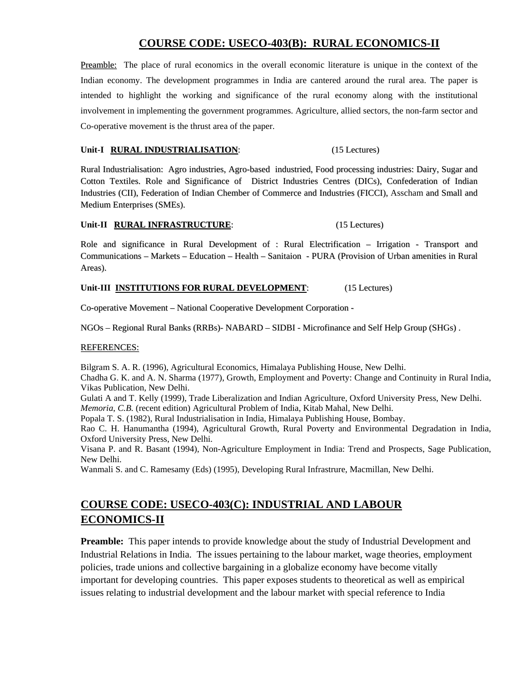# **COURSE CODE: USECO-403(B): RURAL ECONOMICS-II**

Preamble: The place of rural economics in the overall economic literature is unique in the context of the Indian economy. The development programmes in India are cantered around the rural area. The paper is intended to highlight the working and significance of the rural economy along with the institutional involvement in implementing the government programmes. Agriculture, allied sectors, the non-farm sector and Co-operative movement is the thrust area of the paper.

#### Unit-I **RURAL INDUSTRIALISATION**: (15 Lectures)

Rural Industrialisation: Agro industries, Agro-based industried, Food processing industries: Dairy, Sugar and Cotton Textiles. Role and Significance of District Industries Centres (DICs), Confederation of Indian Industries (CII), Federation of Indian Chember of Commerce and Industries (FICCI), Asscham and Small and Medium Enterprises (SMEs).

#### **Unit-II RURAL INFRASTRUCTURE**: (15 Lectures)

Role and significance in Rural Development of : Rural Electrification – Irrigation - Transport and Communications – Markets – Education – Health – Sanitaion - PURA (Provision of Urban amenities in Rural Areas).

#### **Unit-III INSTITUTIONS FOR RURAL DEVELOPMENT**: (15 Lectures)

Co-operative Movement – National Cooperative Development Corporation -

NGOs – Regional Rural Banks (RRBs)- NABARD – SIDBI - Microfinance and Self Help Group (SHGs) .

#### REFERENCES:

Bilgram S. A. R. (1996), Agricultural Economics, Himalaya Publishing House, New Delhi.

Chadha G. K. and A. N. Sharma (1977), Growth, Employment and Poverty: Change and Continuity in Rural India, Vikas Publication, New Delhi.

Gulati A and T. Kelly (1999), Trade Liberalization and Indian Agriculture, Oxford University Press, New Delhi.

*Memoria*, *C.B.* (recent edition) Agricultural Problem of India, Kitab Mahal, New Delhi.

Popala T. S. (1982), Rural Industrialisation in India, Himalaya Publishing House, Bombay.

Rao C. H. Hanumantha (1994), Agricultural Growth, Rural Poverty and Environmental Degradation in India, Oxford University Press, New Delhi.

Visana P. and R. Basant (1994), Non-Agriculture Employment in India: Trend and Prospects, Sage Publication, New Delhi.

Wanmali S. and C. Ramesamy (Eds) (1995), Developing Rural Infrastrure, Macmillan, New Delhi.

# **COURSE CODE: USECO-403(C): INDUSTRIAL AND LABOUR ECONOMICS-II**

**Preamble:** This paper intends to provide knowledge about the study of Industrial Development and Industrial Relations in India. The issues pertaining to the labour market, wage theories, employment policies, trade unions and collective bargaining in a globalize economy have become vitally important for developing countries. This paper exposes students to theoretical as well as empirical issues relating to industrial development and the labour market with special reference to India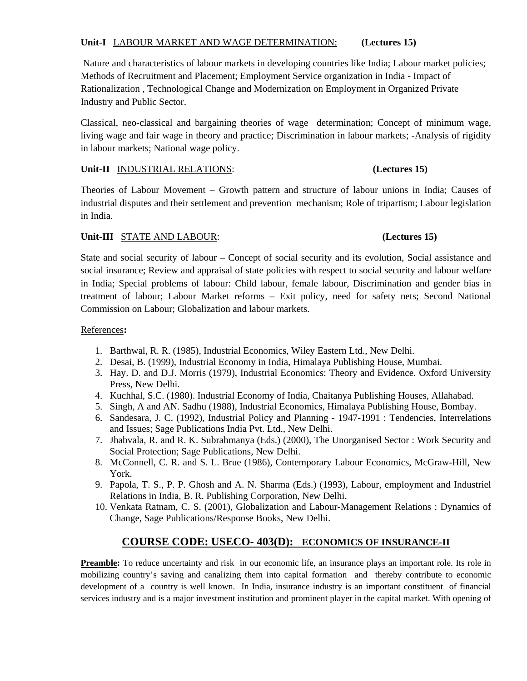#### **Unit-I** LABOUR MARKET AND WAGE DETERMINATION: **(Lectures 15)**

 Nature and characteristics of labour markets in developing countries like India; Labour market policies; Methods of Recruitment and Placement; Employment Service organization in India - Impact of Rationalization , Technological Change and Modernization on Employment in Organized Private Industry and Public Sector.

Classical, neo-classical and bargaining theories of wage determination; Concept of minimum wage, living wage and fair wage in theory and practice; Discrimination in labour markets; -Analysis of rigidity in labour markets; National wage policy.

#### **Unit-II** INDUSTRIAL RELATIONS: **(Lectures 15)**

Theories of Labour Movement – Growth pattern and structure of labour unions in India; Causes of industrial disputes and their settlement and prevention mechanism; Role of tripartism; Labour legislation in India.

# **Unit-III** STATE AND LABOUR: **(Lectures 15)**

State and social security of labour – Concept of social security and its evolution, Social assistance and social insurance; Review and appraisal of state policies with respect to social security and labour welfare in India; Special problems of labour: Child labour, female labour, Discrimination and gender bias in treatment of labour; Labour Market reforms – Exit policy, need for safety nets; Second National Commission on Labour; Globalization and labour markets.

### References**:**

- 1. Barthwal, R. R. (1985), Industrial Economics, Wiley Eastern Ltd., New Delhi.
- 2. Desai, B. (1999), Industrial Economy in India, Himalaya Publishing House, Mumbai.
- 3. Hay. D. and D.J. Morris (1979), Industrial Economics: Theory and Evidence. Oxford University Press, New Delhi.
- 4. Kuchhal, S.C. (1980). Industrial Economy of India, Chaitanya Publishing Houses, Allahabad.
- 5. Singh, A and AN. Sadhu (1988), Industrial Economics, Himalaya Publishing House, Bombay.
- 6. Sandesara, J. C. (1992), Industrial Policy and Planning 1947-1991 : Tendencies, Interrelations and Issues; Sage Publications India Pvt. Ltd., New Delhi.
- 7. Jhabvala, R. and R. K. Subrahmanya (Eds.) (2000), The Unorganised Sector : Work Security and Social Protection; Sage Publications, New Delhi.
- 8. McConnell, C. R. and S. L. Brue (1986), Contemporary Labour Economics, McGraw-Hill, New York.
- 9. Papola, T. S., P. P. Ghosh and A. N. Sharma (Eds.) (1993), Labour, employment and Industriel Relations in India, B. R. Publishing Corporation, New Delhi.
- 10. Venkata Ratnam, C. S. (2001), Globalization and Labour-Management Relations : Dynamics of Change, Sage Publications/Response Books, New Delhi.

# **COURSE CODE: USECO- 403(D): ECONOMICS OF INSURANCE-II**

**Preamble:** To reduce uncertainty and risk in our economic life, an insurance plays an important role. Its role in mobilizing country's saving and canalizing them into capital formation and thereby contribute to economic development of a country is well known. In India, insurance industry is an important constituent of financial services industry and is a major investment institution and prominent player in the capital market. With opening of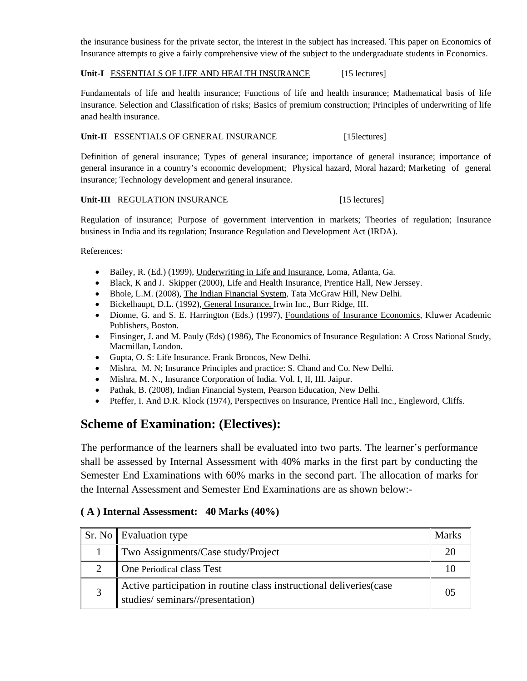the insurance business for the private sector, the interest in the subject has increased. This paper on Economics of Insurance attempts to give a fairly comprehensive view of the subject to the undergraduate students in Economics.

#### Unit-I ESSENTIALS OF LIFE AND HEALTH INSURANCE [15 lectures]

Fundamentals of life and health insurance; Functions of life and health insurance; Mathematical basis of life insurance. Selection and Classification of risks; Basics of premium construction; Principles of underwriting of life anad health insurance.

#### Unit-II ESSENTIALS OF GENERAL INSURANCE [15lectures]

Definition of general insurance; Types of general insurance; importance of general insurance; importance of general insurance in a country's economic development; Physical hazard, Moral hazard; Marketing of general insurance; Technology development and general insurance.

#### **Unit-III** REGULATION INSURANCE [15 lectures]

Regulation of insurance; Purpose of government intervention in markets; Theories of regulation; Insurance business in India and its regulation; Insurance Regulation and Development Act (IRDA).

References:

- Bailey, R. (Ed.) (1999), Underwriting in Life and Insurance, Loma, Atlanta, Ga.
- Black, K and J. Skipper (2000), Life and Health Insurance, Prentice Hall, New Jerssey.
- Bhole, L.M. (2008), The Indian Financial System, Tata McGraw Hill, New Delhi.
- Bickelhaupt, D.L. (1992), General Insurance, Irwin Inc., Burr Ridge, III.
- Dionne, G. and S. E. Harrington (Eds.) (1997), Foundations of Insurance Economics, Kluwer Academic Publishers, Boston.
- Finsinger, J. and M. Pauly (Eds) (1986), The Economics of Insurance Regulation: A Cross National Study, Macmillan, London.
- Gupta, O. S: Life Insurance. Frank Broncos, New Delhi.
- Mishra, M. N; Insurance Principles and practice: S. Chand and Co. New Delhi.
- Mishra, M. N., Insurance Corporation of India. Vol. I, II, III. Jaipur.
- Pathak, B. (2008), Indian Financial System, Pearson Education, New Delhi.
- Pteffer, I. And D.R. Klock (1974), Perspectives on Insurance, Prentice Hall Inc., Engleword, Cliffs.

# **Scheme of Examination: (Electives):**

The performance of the learners shall be evaluated into two parts. The learner's performance shall be assessed by Internal Assessment with 40% marks in the first part by conducting the Semester End Examinations with 60% marks in the second part. The allocation of marks for the Internal Assessment and Semester End Examinations are as shown below:-

#### **( A ) Internal Assessment: 40 Marks (40%)**

|   | Sr. No Evaluation type                                                                                  | <b>Marks</b> |
|---|---------------------------------------------------------------------------------------------------------|--------------|
|   | Two Assignments/Case study/Project                                                                      |              |
|   | One Periodical class Test                                                                               |              |
| 2 | Active participation in routine class instructional deliveries (case<br>studies/seminars//presentation) |              |